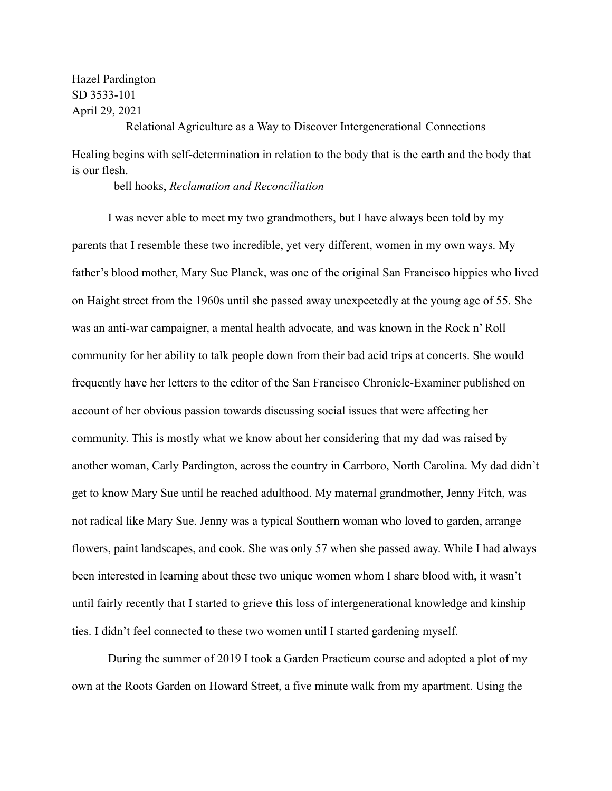Hazel Pardington SD 3533-101 April 29, 2021

Healing begins with self-determination in relation to the body that is the earth and the body that is our flesh.

Relational Agriculture as a Way to Discover Intergenerational Connections

–bell hooks, *Reclamation and Reconciliation*

I was never able to meet my two grandmothers, but I have always been told by my parents that I resemble these two incredible, yet very different, women in my own ways. My father's blood mother, Mary Sue Planck, was one of the original San Francisco hippies who lived on Haight street from the 1960s until she passed away unexpectedly at the young age of 55. She was an anti-war campaigner, a mental health advocate, and was known in the Rock n' Roll community for her ability to talk people down from their bad acid trips at concerts. She would frequently have her letters to the editor of the San Francisco Chronicle-Examiner published on account of her obvious passion towards discussing social issues that were affecting her community. This is mostly what we know about her considering that my dad was raised by another woman, Carly Pardington, across the country in Carrboro, North Carolina. My dad didn't get to know Mary Sue until he reached adulthood. My maternal grandmother, Jenny Fitch, was not radical like Mary Sue. Jenny was a typical Southern woman who loved to garden, arrange flowers, paint landscapes, and cook. She was only 57 when she passed away. While I had always been interested in learning about these two unique women whom I share blood with, it wasn't until fairly recently that I started to grieve this loss of intergenerational knowledge and kinship ties. I didn't feel connected to these two women until I started gardening myself.

During the summer of 2019 I took a Garden Practicum course and adopted a plot of my own at the Roots Garden on Howard Street, a five minute walk from my apartment. Using the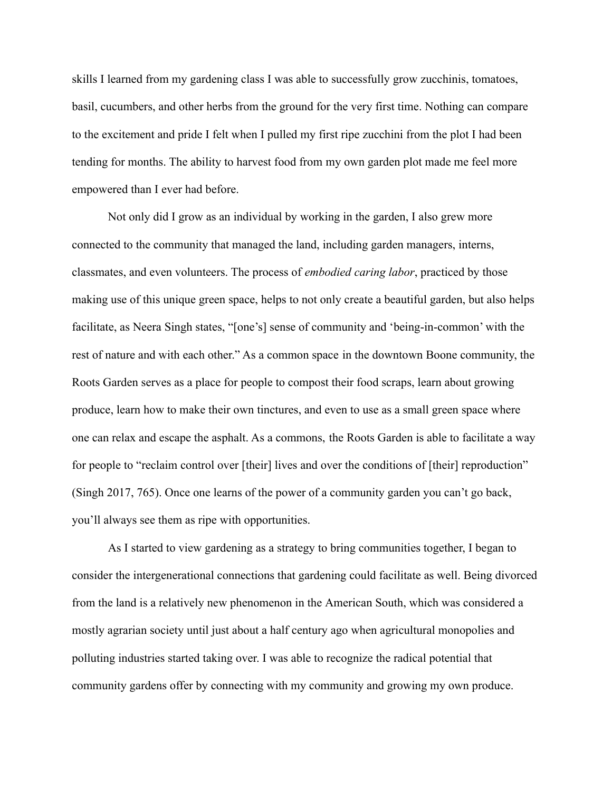skills I learned from my gardening class I was able to successfully grow zucchinis, tomatoes, basil, cucumbers, and other herbs from the ground for the very first time. Nothing can compare to the excitement and pride I felt when I pulled my first ripe zucchini from the plot I had been tending for months. The ability to harvest food from my own garden plot made me feel more empowered than I ever had before.

Not only did I grow as an individual by working in the garden, I also grew more connected to the community that managed the land, including garden managers, interns, classmates, and even volunteers. The process of *embodied caring labor*, practiced by those making use of this unique green space, helps to not only create a beautiful garden, but also helps facilitate, as Neera Singh states, "[one's] sense of community and 'being-in-common' with the rest of nature and with each other." As a common space in the downtown Boone community, the Roots Garden serves as a place for people to compost their food scraps, learn about growing produce, learn how to make their own tinctures, and even to use as a small green space where one can relax and escape the asphalt. As a commons, the Roots Garden is able to facilitate a way for people to "reclaim control over [their] lives and over the conditions of [their] reproduction" (Singh 2017, 765). Once one learns of the power of a community garden you can't go back, you'll always see them as ripe with opportunities.

As I started to view gardening as a strategy to bring communities together, I began to consider the intergenerational connections that gardening could facilitate as well. Being divorced from the land is a relatively new phenomenon in the American South, which was considered a mostly agrarian society until just about a half century ago when agricultural monopolies and polluting industries started taking over. I was able to recognize the radical potential that community gardens offer by connecting with my community and growing my own produce.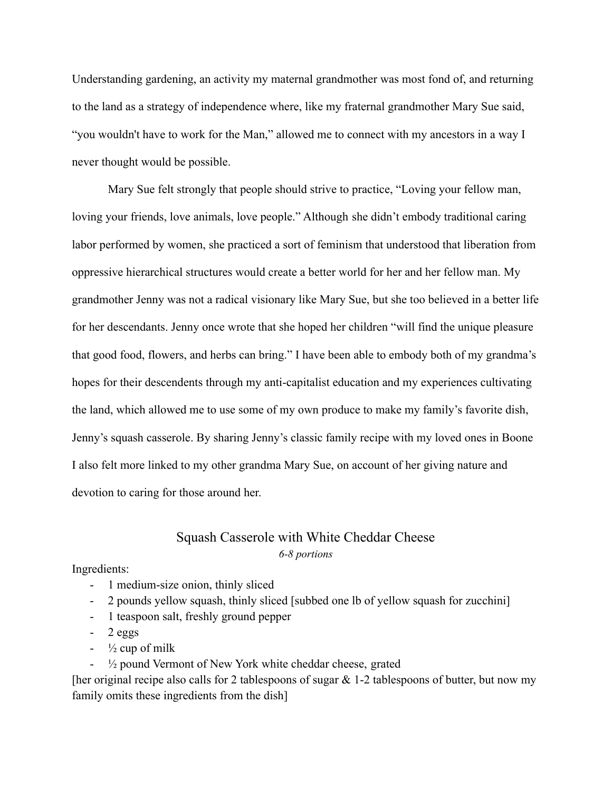Understanding gardening, an activity my maternal grandmother was most fond of, and returning to the land as a strategy of independence where, like my fraternal grandmother Mary Sue said, "you wouldn't have to work for the Man," allowed me to connect with my ancestors in a way I never thought would be possible.

Mary Sue felt strongly that people should strive to practice, "Loving your fellow man, loving your friends, love animals, love people." Although she didn't embody traditional caring labor performed by women, she practiced a sort of feminism that understood that liberation from oppressive hierarchical structures would create a better world for her and her fellow man. My grandmother Jenny was not a radical visionary like Mary Sue, but she too believed in a better life for her descendants. Jenny once wrote that she hoped her children "will find the unique pleasure that good food, flowers, and herbs can bring." I have been able to embody both of my grandma's hopes for their descendents through my anti-capitalist education and my experiences cultivating the land, which allowed me to use some of my own produce to make my family's favorite dish, Jenny's squash casserole. By sharing Jenny's classic family recipe with my loved ones in Boone I also felt more linked to my other grandma Mary Sue, on account of her giving nature and devotion to caring for those around her.

## Squash Casserole with White Cheddar Cheese *6-8 portions*

Ingredients:

- 1 medium-size onion, thinly sliced
- 2 pounds yellow squash, thinly sliced [subbed one lb of yellow squash for zucchini]
- 1 teaspoon salt, freshly ground pepper
- $-2$  eggs
- $\frac{1}{2}$  cup of milk
- $\frac{1}{2}$  pound Vermont of New York white cheddar cheese, grated

[her original recipe also calls for 2 tablespoons of sugar  $& 1-2$  tablespoons of butter, but now my family omits these ingredients from the dish]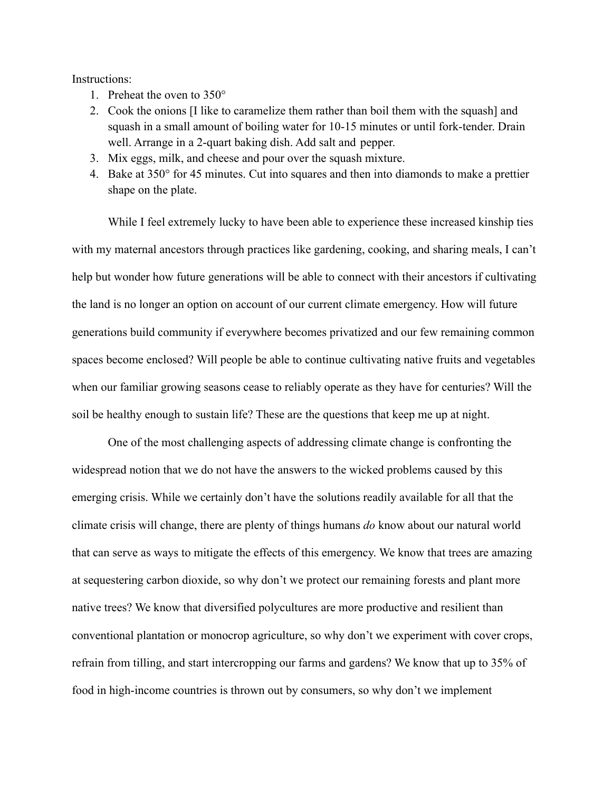## Instructions:

- 1. Preheat the oven to 350°
- 2. Cook the onions [I like to caramelize them rather than boil them with the squash] and squash in a small amount of boiling water for 10-15 minutes or until fork-tender. Drain well. Arrange in a 2-quart baking dish. Add salt and pepper.
- 3. Mix eggs, milk, and cheese and pour over the squash mixture.
- 4. Bake at 350° for 45 minutes. Cut into squares and then into diamonds to make a prettier shape on the plate.

While I feel extremely lucky to have been able to experience these increased kinship ties with my maternal ancestors through practices like gardening, cooking, and sharing meals, I can't help but wonder how future generations will be able to connect with their ancestors if cultivating the land is no longer an option on account of our current climate emergency. How will future generations build community if everywhere becomes privatized and our few remaining common spaces become enclosed? Will people be able to continue cultivating native fruits and vegetables when our familiar growing seasons cease to reliably operate as they have for centuries? Will the soil be healthy enough to sustain life? These are the questions that keep me up at night.

One of the most challenging aspects of addressing climate change is confronting the widespread notion that we do not have the answers to the wicked problems caused by this emerging crisis. While we certainly don't have the solutions readily available for all that the climate crisis will change, there are plenty of things humans *do* know about our natural world that can serve as ways to mitigate the effects of this emergency. We know that trees are amazing at sequestering carbon dioxide, so why don't we protect our remaining forests and plant more native trees? We know that diversified polycultures are more productive and resilient than conventional plantation or monocrop agriculture, so why don't we experiment with cover crops, refrain from tilling, and start intercropping our farms and gardens? We know that up to 35% of food in high-income countries is thrown out by consumers, so why don't we implement